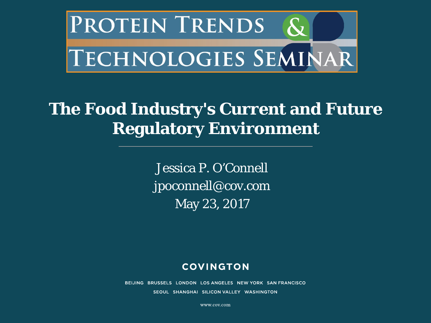

#### **The Food Industry's Current and Future Regulatory Environment**

Jessica P. O'Connell jpoconnell@cov.com May 23, 2017

#### **COVINGTON**

BEIJING BRUSSELS LONDON LOS ANGELES NEW YORK SAN FRANCISCO SEOUL SHANGHAI SILICON VALLEY WASHINGTON

www.cov.com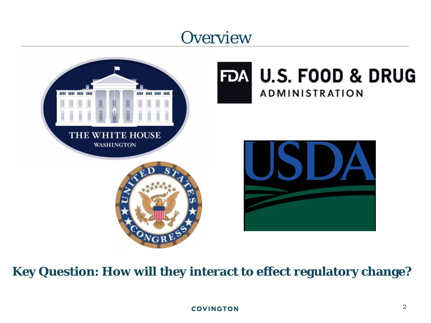## **Overview**



#### **Key Question: How will they interact to effect regulatory change?**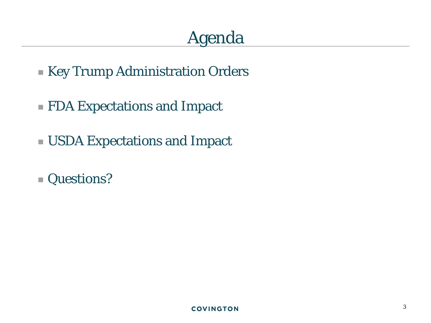# Agenda

- Key Trump Administration Orders
- FDA Expectations and Impact
- USDA Expectations and Impact
- Questions?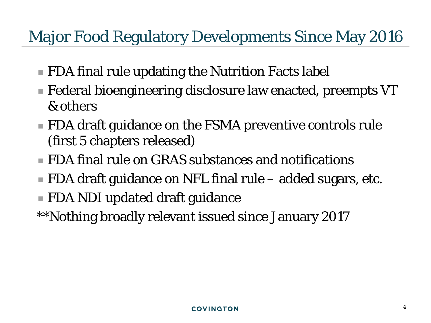## Major Food Regulatory Developments Since May 2016

- **FDA final rule updating the Nutrition Facts label**
- Federal bioengineering disclosure law enacted, preempts VT & others
- **FDA draft guidance on the FSMA preventive controls rule** (first 5 chapters released)
- FDA final rule on GRAS substances and notifications
- FDA draft guidance on NFL final rule added sugars, etc.
- FDA NDI updated draft guidance
- \*\*Nothing broadly relevant issued since January 2017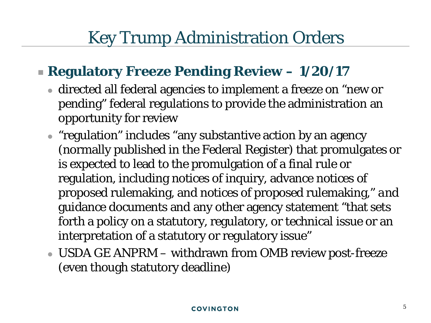#### **Regulatory Freeze Pending Review – 1/20/17**

- directed all federal agencies to implement a freeze on "new or pending" federal regulations to provide the administration an opportunity for review
- "regulation" includes "any substantive action by an agency (normally published in the Federal Register) that promulgates or is expected to lead to the promulgation of a final rule or regulation, including notices of inquiry, advance notices of proposed rulemaking, and notices of proposed rulemaking," *and* guidance documents and any other agency statement "that sets forth a policy on a statutory, regulatory, or technical issue or an interpretation of a statutory or regulatory issue"
- USDA GE ANPRM withdrawn from OMB review post-freeze (even though statutory deadline)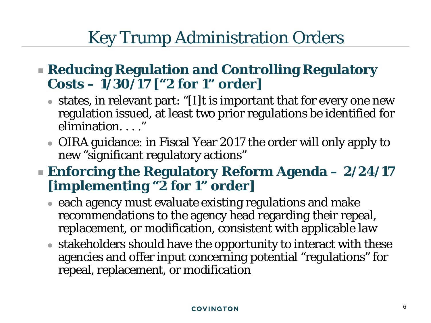#### **Reducing Regulation and Controlling Regulatory Costs – 1/30/17 ["2 for 1" order]**

- states, in relevant part: "[I]t is important that for every one new regulation issued, at least two prior regulations be identified for elimination...."
- OIRA guidance: in Fiscal Year 2017 the order will only apply to new "significant regulatory actions"

#### **Enforcing the Regulatory Reform Agenda – 2/24/17 [implementing "2 for 1" order]**

- each agency must evaluate existing regulations and make recommendations to the agency head regarding their repeal, replacement, or modification, consistent with applicable law
- stakeholders should have the opportunity to interact with these agencies and offer input concerning potential "regulations" for repeal, replacement, or modification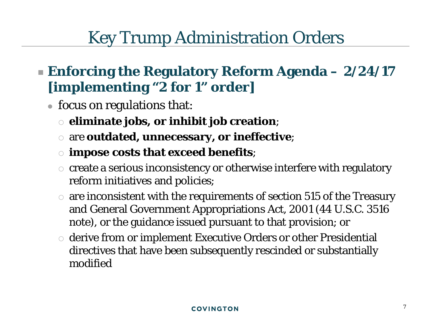- **Enforcing the Regulatory Reform Agenda – 2/24/17 [implementing "2 for 1" order]**
	- focus on regulations that:
		- **eliminate jobs, or inhibit job creation**;
		- are **outdated, unnecessary, or ineffective**;
		- **impose costs that exceed benefits**;
		- $\circ$  create a serious inconsistency or otherwise interfere with regulatory reform initiatives and policies;
		- $\circ$  are inconsistent with the requirements of section 515 of the Treasury and General Government Appropriations Act, 2001 (44 U.S.C. 3516 note), or the guidance issued pursuant to that provision; or
		- derive from or implement Executive Orders or other Presidential directives that have been subsequently rescinded or substantially modified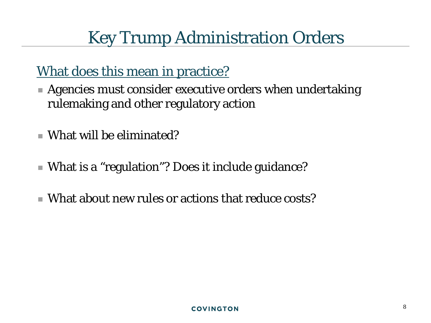#### What does this mean in practice?

- Agencies must consider executive orders when undertaking rulemaking and other regulatory action
- What will be eliminated?
- What is a "regulation"? Does it include guidance?
- What about new rules or actions that reduce costs?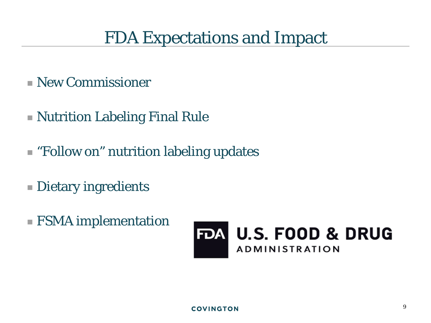- New Commissioner
- Nutrition Labeling Final Rule
- "Follow on" nutrition labeling updates
- **Dietary ingredients**
- FSMA implementation

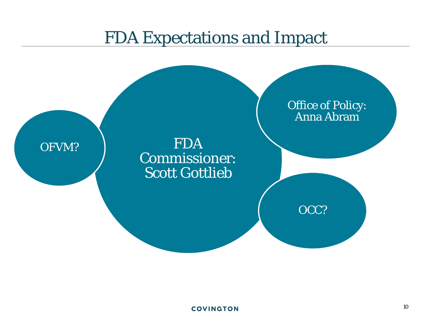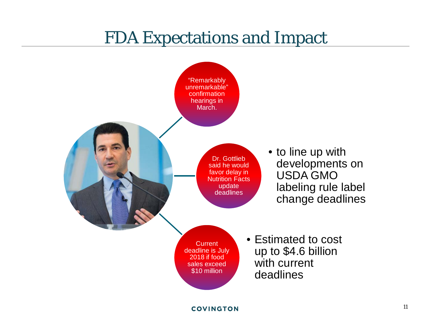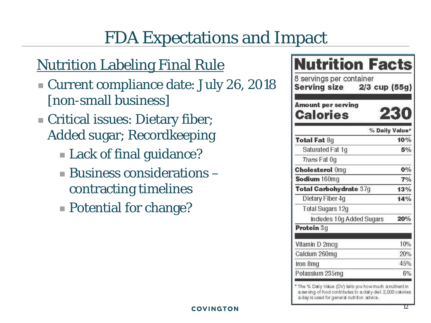#### **Nutrition Labeling Final Rule**

- Current compliance date: July 26, 2018 [non-small business]
- Critical issues: Dietary fiber; Added sugar; Recordkeeping
	- **Lack of final guidance?**
	- $\blacksquare$  Business considerations  $\blacksquare$ contracting timelines
	- Potential for change?

| 8 servings per container<br>Serving size 2/3 cup (55g) |                |
|--------------------------------------------------------|----------------|
| Amount per serving<br>Calories                         | 230            |
|                                                        | % Daily Value* |
| <b>Total Fat 8g</b>                                    | 10%            |
| Saturated Fat 1g                                       | 5%             |
| Trans Fat 0g                                           |                |
| <b>Cholesterol Omg</b>                                 | 0%             |
| Sodium 160mg                                           | 7%             |
| Total Carbohydrate 37g                                 | 13%            |
| Dietary Fiber 4g                                       | 14%            |
| <b>Total Sugars 12g</b>                                |                |
| Indudes 10g Added Sugars                               | 20%            |
| Protein 3g                                             |                |
| Vitamin D 2mcg                                         | 10%            |
| Calcium 260mg                                          | 20%            |
| Iron 8mg                                               | 45%            |
| Potassium 235mg                                        | 6%             |

a serving of food contributes to a daily diet. 2,000 calories a day is used for general nutrition advice.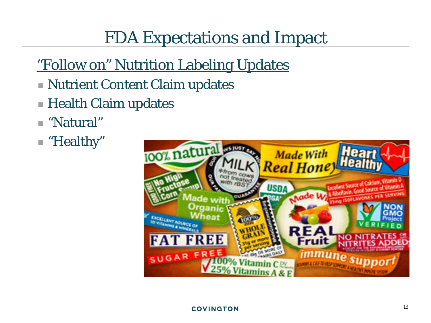### "Follow on" Nutrition Labeling Updates

- Nutrient Content Claim updates
- Health Claim updates
- "Natural"
- "Healthy"

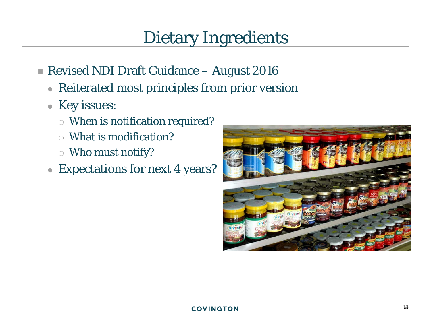## Dietary Ingredients

- Revised NDI Draft Guidance August 2016
	- Reiterated most principles from prior version
	- Key issues:
		- When is notification required?
		- What is modification?
		- Who must notify?
	- Expectations for next 4 years?

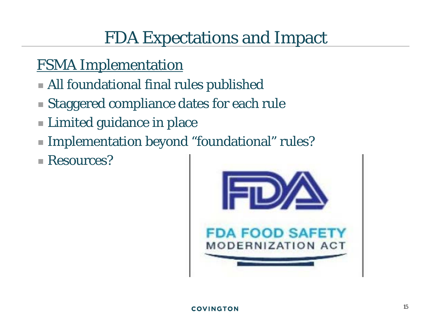#### FSMA Implementation

- All foundational final rules published
- Staggered compliance dates for each rule
- **Limited guidance in place**
- Implementation beyond "foundational" rules?
- Resources?

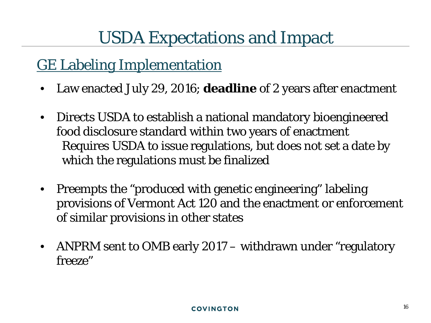#### GE Labeling Implementation

- Law enacted July 29, 2016; **deadline** of 2 years after enactment
- Directs USDA to establish a national mandatory bioengineered food disclosure standard within two years of enactment Requires USDA to issue regulations, but does not set a date by which the regulations must be finalized
- Preempts the "produced with genetic engineering" labeling provisions of Vermont Act 120 and the enactment or enforcement of similar provisions in other states
- ANPRM sent to OMB early 2017 withdrawn under "regulatory" freeze"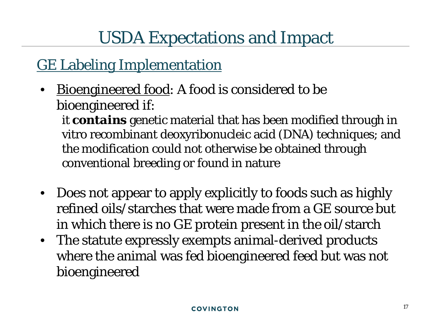#### GE Labeling Implementation

Bioengineered food: A food is considered to be bioengineered if:

it *contains* genetic material that has been modified through in vitro recombinant deoxyribonucleic acid (DNA) techniques; and the modification could not otherwise be obtained through conventional breeding or found in nature

- Does not appear to apply explicitly to foods such as highly refined oils/starches that were made from a GE source but in which there is no GE protein present in the oil/starch
- The statute expressly exempts animal-derived products where the animal was fed bioengineered feed but was not bioengineered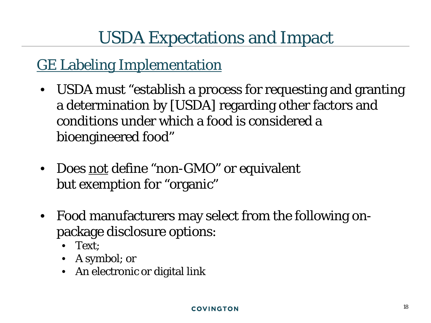#### GE Labeling Implementation

- USDA must "establish a process for requesting and granting a determination by [USDA] regarding other factors and conditions under which a food is considered a bioengineered food"
- Does not define "non-GMO" or equivalent *but* exemption for "organic"
- Food manufacturers may select from the following onpackage disclosure options:
	- Text;
	- A symbol; or
	- An electronic or digital link